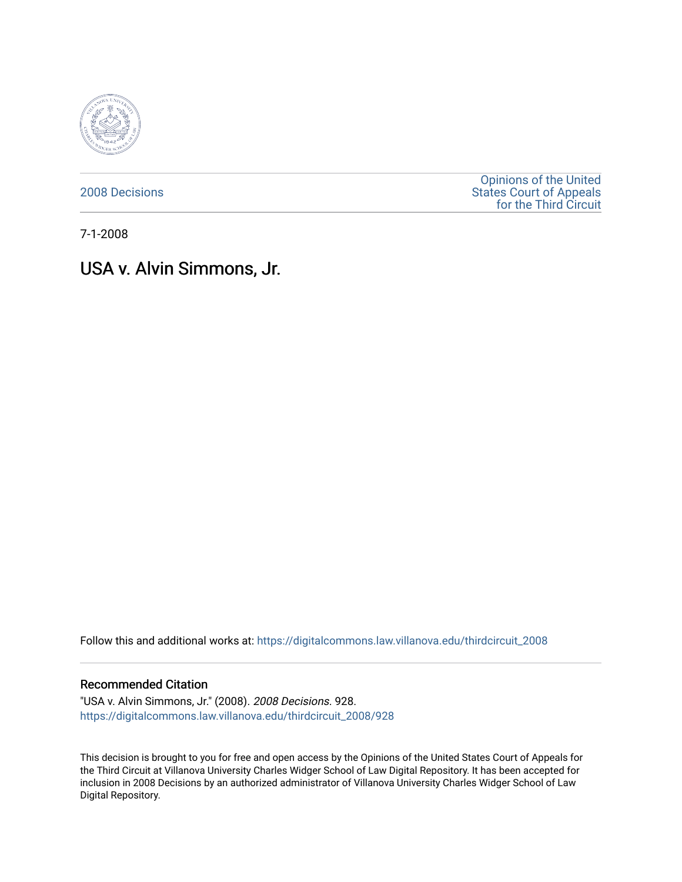

[2008 Decisions](https://digitalcommons.law.villanova.edu/thirdcircuit_2008)

[Opinions of the United](https://digitalcommons.law.villanova.edu/thirdcircuit)  [States Court of Appeals](https://digitalcommons.law.villanova.edu/thirdcircuit)  [for the Third Circuit](https://digitalcommons.law.villanova.edu/thirdcircuit) 

7-1-2008

# USA v. Alvin Simmons, Jr.

Follow this and additional works at: [https://digitalcommons.law.villanova.edu/thirdcircuit\\_2008](https://digitalcommons.law.villanova.edu/thirdcircuit_2008?utm_source=digitalcommons.law.villanova.edu%2Fthirdcircuit_2008%2F928&utm_medium=PDF&utm_campaign=PDFCoverPages) 

### Recommended Citation

"USA v. Alvin Simmons, Jr." (2008). 2008 Decisions. 928. [https://digitalcommons.law.villanova.edu/thirdcircuit\\_2008/928](https://digitalcommons.law.villanova.edu/thirdcircuit_2008/928?utm_source=digitalcommons.law.villanova.edu%2Fthirdcircuit_2008%2F928&utm_medium=PDF&utm_campaign=PDFCoverPages)

This decision is brought to you for free and open access by the Opinions of the United States Court of Appeals for the Third Circuit at Villanova University Charles Widger School of Law Digital Repository. It has been accepted for inclusion in 2008 Decisions by an authorized administrator of Villanova University Charles Widger School of Law Digital Repository.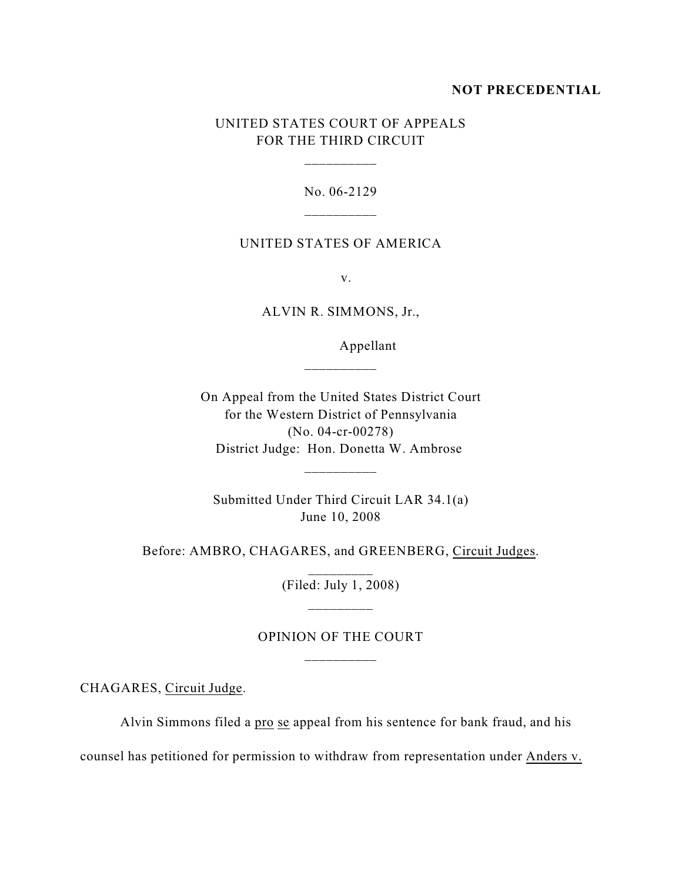## **NOT PRECEDENTIAL**

# UNITED STATES COURT OF APPEALS FOR THE THIRD CIRCUIT

\_\_\_\_\_\_\_\_\_\_

No. 06-2129 \_\_\_\_\_\_\_\_\_\_

## UNITED STATES OF AMERICA

v.

ALVIN R. SIMMONS, Jr.,

\_\_\_\_\_\_\_\_\_\_

Appellant

On Appeal from the United States District Court for the Western District of Pennsylvania (No. 04-cr-00278) District Judge: Hon. Donetta W. Ambrose

\_\_\_\_\_\_\_\_\_\_

Submitted Under Third Circuit LAR 34.1(a) June 10, 2008

Before: AMBRO, CHAGARES, and GREENBERG, Circuit Judges.

(Filed: July 1, 2008)

# OPINION OF THE COURT \_\_\_\_\_\_\_\_\_\_

CHAGARES, Circuit Judge.

Alvin Simmons filed a pro se appeal from his sentence for bank fraud, and his

counsel has petitioned for permission to withdraw from representation under Anders v.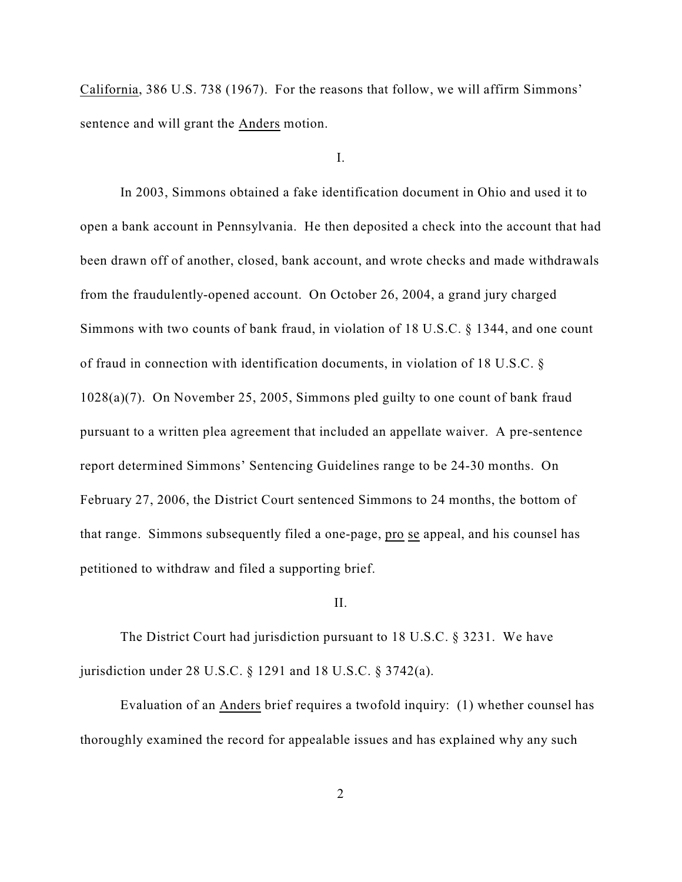California, 386 U.S. 738 (1967). For the reasons that follow, we will affirm Simmons' sentence and will grant the Anders motion.

I.

In 2003, Simmons obtained a fake identification document in Ohio and used it to open a bank account in Pennsylvania. He then deposited a check into the account that had been drawn off of another, closed, bank account, and wrote checks and made withdrawals from the fraudulently-opened account. On October 26, 2004, a grand jury charged Simmons with two counts of bank fraud, in violation of 18 U.S.C. § 1344, and one count of fraud in connection with identification documents, in violation of 18 U.S.C. § 1028(a)(7). On November 25, 2005, Simmons pled guilty to one count of bank fraud pursuant to a written plea agreement that included an appellate waiver. A pre-sentence report determined Simmons' Sentencing Guidelines range to be 24-30 months. On February 27, 2006, the District Court sentenced Simmons to 24 months, the bottom of that range. Simmons subsequently filed a one-page, pro se appeal, and his counsel has petitioned to withdraw and filed a supporting brief.

#### II.

The District Court had jurisdiction pursuant to 18 U.S.C. § 3231. We have jurisdiction under 28 U.S.C. § 1291 and 18 U.S.C. § 3742(a).

Evaluation of an Anders brief requires a twofold inquiry: (1) whether counsel has thoroughly examined the record for appealable issues and has explained why any such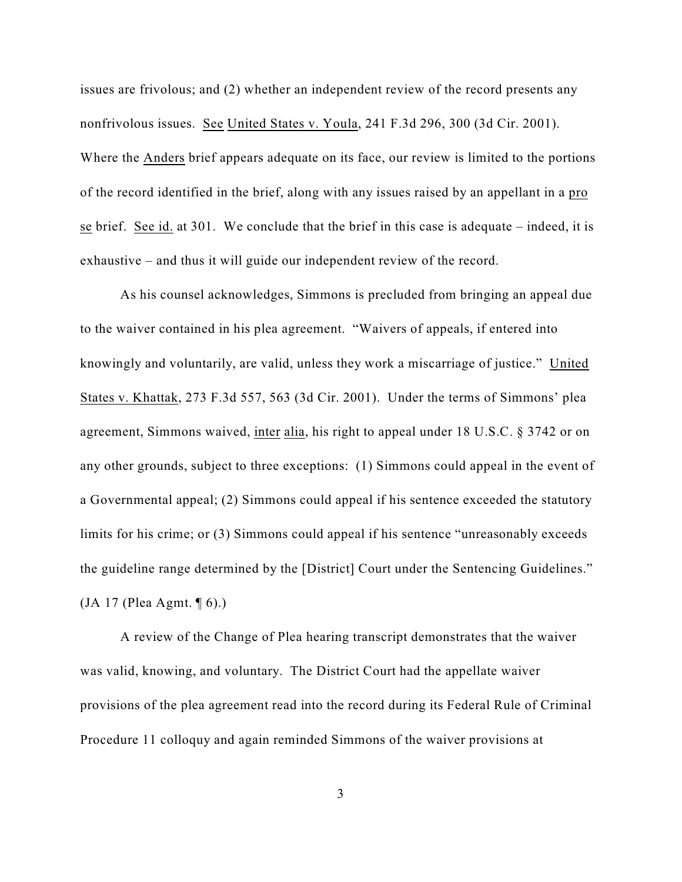issues are frivolous; and (2) whether an independent review of the record presents any nonfrivolous issues. See United States v. Youla, 241 F.3d 296, 300 (3d Cir. 2001). Where the Anders brief appears adequate on its face, our review is limited to the portions of the record identified in the brief, along with any issues raised by an appellant in a pro se brief. See id. at 301. We conclude that the brief in this case is adequate – indeed, it is exhaustive – and thus it will guide our independent review of the record.

As his counsel acknowledges, Simmons is precluded from bringing an appeal due to the waiver contained in his plea agreement. "Waivers of appeals, if entered into knowingly and voluntarily, are valid, unless they work a miscarriage of justice." United States v. Khattak, 273 F.3d 557, 563 (3d Cir. 2001). Under the terms of Simmons' plea agreement, Simmons waived, inter alia, his right to appeal under 18 U.S.C. § 3742 or on any other grounds, subject to three exceptions: (1) Simmons could appeal in the event of a Governmental appeal; (2) Simmons could appeal if his sentence exceeded the statutory limits for his crime; or (3) Simmons could appeal if his sentence "unreasonably exceeds the guideline range determined by the [District] Court under the Sentencing Guidelines." (JA 17 (Plea Agmt. ¶ 6).)

A review of the Change of Plea hearing transcript demonstrates that the waiver was valid, knowing, and voluntary. The District Court had the appellate waiver provisions of the plea agreement read into the record during its Federal Rule of Criminal Procedure 11 colloquy and again reminded Simmons of the waiver provisions at